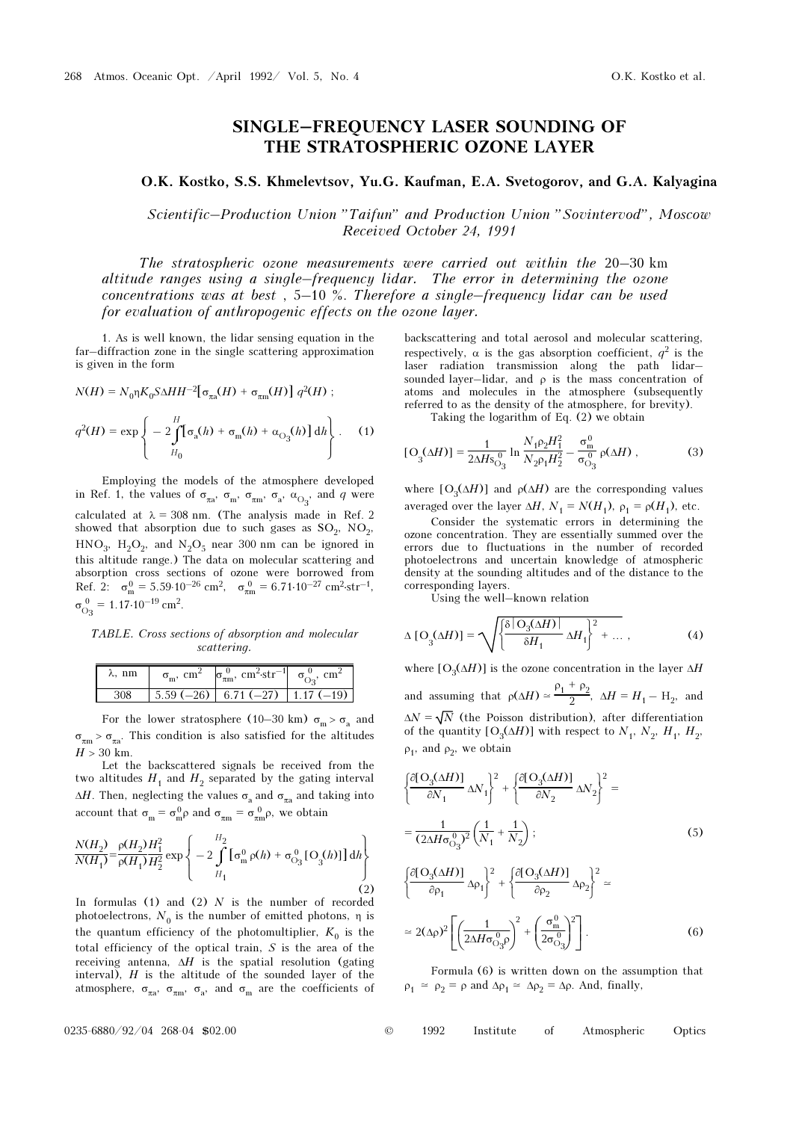## SINGLE–FREQUENCY LASER SOUNDING OF THE STRATOSPHERIC OZONE LAYER

## O.K. Kostko, S.S. Khmelevtsov, Yu.G. Kaufman, E.A. Svetogorov, and G.A. Kalyagina

Scientific–Production Union "Taifun" and Production Union "Sovintervod", Moscow Received October 24, 1991

The stratospheric ozone measurements were carried out within the 20–30 km altitude ranges using a single–frequency lidar. The error in determining the ozone concentrations was at best , 5–10 %. Therefore a single–frequency lidar can be used for evaluation of anthropogenic effects on the ozone layer.

⎭

1. As is well known, the lidar sensing equation in the far–diffraction zone in the single scattering approximation is given in the form

$$
N(H) = N_0 \eta K_0 S \Delta H H^{-2} [\sigma_{\pi a}(H) + \sigma_{\pi m}(H)] q^2(H) ;
$$
  

$$
q^2(H) = \exp \left\{ -2 \int^H [\sigma_a(h) + \sigma_m(h) + \alpha_{O_3}(h)] dh \right\}.
$$
 (1)

 $\overline{\mathfrak{c}}$ 

 $H_0$ 

Employing the models of the atmosphere developed in Ref. 1, the values of  $\sigma_{\pi a}$ ,  $\sigma_{m}$ ,  $\sigma_{\pi m}$ ,  $\sigma_{a}$ ,  $\alpha_{O_3}$ , and q were calculated at  $\lambda = 308$  nm. (The analysis made in Ref. 2) showed that absorption due to such gases as  $SO_2$ ,  $NO_2$ ,  $HNO<sub>3</sub>$ ,  $H<sub>2</sub>O<sub>2</sub>$ , and  $N<sub>2</sub>O<sub>5</sub>$  near 300 nm can be ignored in this altitude range.) The data on molecular scattering and absorption cross sections of ozone were borrowed from absorption cross sections of ozone were borrowed from<br>Ref. 2:  $\sigma_{\text{m}}^0 = 5.59 \cdot 10^{-26} \text{ cm}^2$ ,  $\sigma_{\text{m}}^0 = 6.71 \cdot 10^{-27} \text{ cm}^2 \cdot \text{str}^{-1}$ ,  $\sigma_{\rm O_3}^{\,0}$  $\sigma_{\text{m}}^{0} = 5.59.10^{-19}$ <br>= 1.17.10<sup>-19</sup> cm<sup>2</sup>.

TABLE. Cross sections of absorption and molecular scattering.

| ooweer, my,    |  |                                                                                                                                      |  |
|----------------|--|--------------------------------------------------------------------------------------------------------------------------------------|--|
| $\lambda$ , nm |  | $\sigma_{\rm m}$ , cm <sup>2</sup> $\sigma_{\pi \rm m}^0$ , cm <sup>2</sup> -str <sup>-1</sup> $\sigma_{\rm O2}^0$ , cm <sup>2</sup> |  |
|                |  | $5.59(-26)$ 6.71 (-27) 1.17 (-19)                                                                                                    |  |

For the lower stratosphere (10–30 km)  $\sigma_{\rm m} > \sigma_{\rm a}$  and  $\sigma_{\pi m}$  >  $\sigma_{\pi a}$ . This condition is also satisfied for the altitudes  $H > 30$  km

Let the backscattered signals be received from the two altitudes  $H_1$  and  $H_2$  separated by the gating interval  $\Delta H$ . Then, neglecting the values  $\sigma_a$  and  $\sigma_{\pi a}$  and taking into account that  $\sigma_m = \sigma_m^0 \rho$  and  $\sigma_{\pi m} = \sigma_{\pi m}^0 \rho$ , we obtain

$$
\frac{N(H_2)}{N(H_1)} = \frac{\rho(H_2)}{\rho(H_1)} \frac{H_1^2}{H_2^2} \exp\left\{-2\int\limits_{H_1}^{H_2} [\sigma_m^0 \rho(h) + \sigma_{O_3}^0 [O_3(h)]] dh\right\}
$$
\n(2)

In formulas  $(1)$  and  $(2)$  N is the number of recorded photoelectrons,  $N_0$  is the number of emitted photons,  $\eta$  is the quantum efficiency of the photomultiplier,  $K_0$  is the total efficiency of the optical train, S is the area of the receiving antenna,  $\Delta H$  is the spatial resolution (gating interval),  $H$  is the altitude of the sounded layer of the atmosphere,  $\sigma_{\pi a}$ ,  $\sigma_{\pi m}$ ,  $\sigma_{a}$ , and  $\sigma_{m}$  are the coefficients of backscattering and total aerosol and molecular scattering, respectively,  $\alpha$  is the gas absorption coefficient,  $q^2$  is the laser radiation transmission along the path lidar– sounded layer-lidar, and  $\rho$  is the mass concentration of atoms and molecules in the atmosphere (subsequently referred to as the density of the atmosphere, for brevity).

Taking the logarithm of Eq. (2) we obtain

$$
[O_3(\Delta H)] = \frac{1}{2\Delta H s_{O_3}^0} \ln \frac{N_1 \rho_2 H_1^2}{N_2 \rho_1 H_2^2} - \frac{\sigma_{\text{m}}^0}{\sigma_{O_3}^0} \rho(\Delta H) , \qquad (3)
$$

where  $[O_3(\Delta H)]$  and  $\rho(\Delta H)$  are the corresponding values averaged over the layer  $\Delta H$ ,  $N_1 = N(H_1)$ ,  $\rho_1 = \rho(H_1)$ , etc.

Consider the systematic errors in determining the ozone concentration. They are essentially summed over the errors due to fluctuations in the number of recorded photoelectrons and uncertain knowledge of atmospheric density at the sounding altitudes and of the distance to the corresponding layers.

Using the well–known relation

$$
\Delta \left[ \mathcal{O}_3(\Delta H) \right] = \sqrt{\left\{ \frac{\delta \left| \mathcal{O}_3(\Delta H) \right|}{\delta H_1} \Delta H_1 \right\}^2 + \dots} \,, \tag{4}
$$

where  $[O_3(\Delta H)]$  is the ozone concentration in the layer  $\Delta H$ and assuming that  $\rho(\Delta H) \simeq$  $ρ<sub>1</sub> + ρ<sub>2</sub>$  $\frac{1}{2}$ ,  $\Delta H = H_1 - H_2$ , and  $\Delta N = \sqrt{N}$  (the Poisson distribution), after differentiation of the quantity  $[O_3(\Delta H)]$  with respect to  $N_1$ ,  $N_2$ ,  $H_1$ ,  $H_2$ ,  $\rho_1$ , and  $\rho_2$ , we obtain

$$
\left\{\frac{\partial[\mathcal{O}_3(\Delta H)]}{\partial N_1}\Delta N_1\right\}^2 + \left\{\frac{\partial[\mathcal{O}_3(\Delta H)]}{\partial N_2}\Delta N_2\right\}^2 =
$$
  
= 
$$
\frac{1}{(2\Delta H\sigma_{\mathcal{O}_3}^0)^2} \left(\frac{1}{N_1} + \frac{1}{N_2}\right);
$$
 (5)

$$
\left\{\frac{\partial[\mathcal{O}_3(\Delta H)]}{\partial \rho_1} \Delta \rho_1\right\}^2 + \left\{\frac{\partial[\mathcal{O}_3(\Delta H)]}{\partial \rho_2} \Delta \rho_2\right\}^2 \approx
$$
  

$$
\approx 2(\Delta \rho)^2 \left[\left(\frac{1}{2\Delta H \sigma_{O_3}^0 \rho}\right)^2 + \left(\frac{\sigma_{\rm m}^0}{2\sigma_{O_3}^0}\right)^2\right].
$$
 (6)

Formula (6) is written down on the assumption that  $\rho_1 \simeq \rho_2 = \rho$  and  $\Delta \rho_1 \simeq \Delta \rho_2 = \Delta \rho$ . And, finally,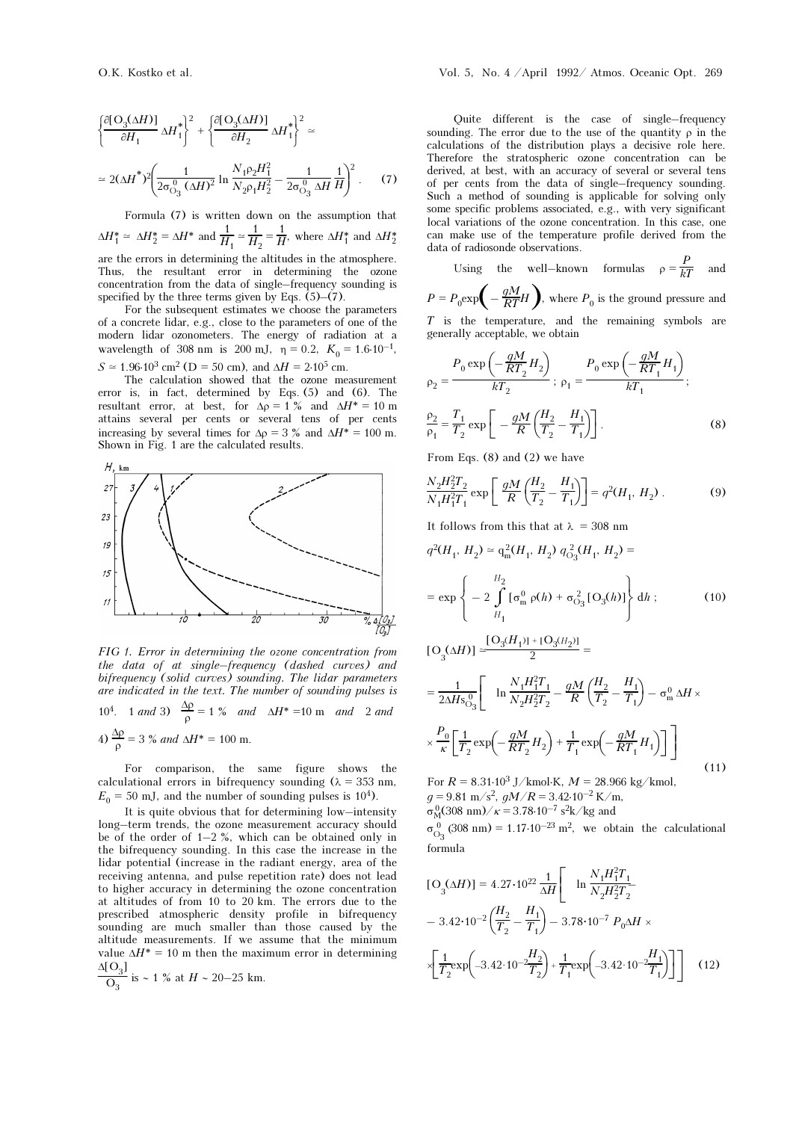$$
\left\{\frac{\partial[\mathcal{O}_3(\Delta H)]}{\partial H_1} \Delta H_1^*\right\}^2 + \left\{\frac{\partial[\mathcal{O}_3(\Delta H)]}{\partial H_2} \Delta H_1^*\right\}^2 \approx
$$
  

$$
\approx 2(\Delta H^*)^2 \left(\frac{1}{2\sigma_{\text{O}_3}^0 (\Delta H)^2} \ln \frac{N_1 \rho_2 H_1^2}{N_2 \rho_1 H_2^2} - \frac{1}{2\sigma_{\text{O}_3}^0 \Delta H} \frac{1}{H}\right)^2. \tag{7}
$$

Formula (7) is written down on the assumption that  $\Delta H_1^* \simeq \Delta H_2^* = \Delta H^*$  and  $\frac{1}{H_1} \simeq \frac{1}{H_2} = \frac{1}{H}$ , where  $\Delta H_1^*$  and  $\Delta H_2^*$ are the errors in determining the altitudes in the atmosphere. Thus, the resultant error in determining the ozone concentration from the data of single–frequency sounding is specified by the three terms given by Eqs. (5)–(7).

For the subsequent estimates we choose the parameters of a concrete lidar, e.g., close to the parameters of one of the modern lidar ozonometers. The energy of radiation at a wavelength of 308 nm is 200 mJ,  $\eta = 0.2$ ,  $K_0 = 1.6 \cdot 10^{-1}$ ,  $S \approx 1.96 \cdot 10^3$  cm<sup>2</sup> (D = 50 cm), and  $\Delta H = 2 \cdot 10^5$  cm.

The calculation showed that the ozone measurement error is, in fact, determined by Eqs. (5) and (6). The resultant error, at best, for  $\Delta \rho = 1 \%$  and  $\Delta H^* = 10$  m attains several per cents or several tens of per cents increasing by several times for  $\Delta \rho = 3 \%$  and  $\Delta H^* = 100$  m. Shown in Fig. 1 are the calculated results.



FIG 1. Error in determining the ozone concentration from the data of at single–frequency (dashed curves) and bifrequency (solid curves) sounding. The lidar parameters are indicated in the text. The number of sounding pulses is 10<sup>4</sup>. 1 and 3)  $\frac{\Delta p}{\rho} = 1$  % and  $\Delta H^* = 10$  m and 2 and 4)  $\frac{\Delta p}{\rho} = 3 \%$  and  $\Delta H^* = 100$  m.

For comparison, the same figure shows the calculational errors in bifrequency sounding ( $\lambda = 353$  nm,  $E_0 = 50$  mJ, and the number of sounding pulses is 10<sup>4</sup>).

It is quite obvious that for determining low–intensity long–term trends, the ozone measurement accuracy should be of the order of  $1-2\%$ , which can be obtained only in the bifrequency sounding. In this case the increase in the lidar potential (increase in the radiant energy, area of the receiving antenna, and pulse repetition rate) does not lead to higher accuracy in determining the ozone concentration at altitudes of from 10 to 20 km. The errors due to the prescribed atmospheric density profile in bifrequency sounding are much smaller than those caused by the altitude measurements. If we assume that the minimum value  $\Delta H^* = 10$  m then the maximum error in determining  $\Delta$ [O $\overline{)}$ ]

$$
\frac{G_1 G_{31}}{O_3}
$$
 is ~ 1 % at  $H \sim 20-25$  km.

Quite different is the case of single–frequency sounding. The error due to the use of the quantity  $\rho$  in the calculations of the distribution plays a decisive role here. Therefore the stratospheric ozone concentration can be derived, at best, with an accuracy of several or several tens of per cents from the data of single–frequency sounding. Such a method of sounding is applicable for solving only some specific problems associated, e.g., with very significant local variations of the ozone concentration. In this case, one can make use of the temperature profile derived from the data of radiosonde observations.

Using the well–known formulas  $\rho = \frac{P}{kT}$  and  $P = P_0 \exp\left(-\frac{gM}{RT}H\right)$ , where  $P_0$  is the ground pressure and

T is the temperature, and the remaining symbols are generally acceptable, we obtain

$$
\rho_2 = \frac{P_0 \exp\left(-\frac{gM}{RT_2}H_2\right)}{kT_2}; \ \rho_1 = \frac{P_0 \exp\left(-\frac{gM}{RT_1}H_1\right)}{kT_1};
$$
\n
$$
\frac{\rho_2}{\rho_1} = \frac{T_1}{T_2} \exp\left[-\frac{gM}{R}\left(\frac{H_2}{T_2} - \frac{H_1}{T_1}\right)\right].
$$
\n(8)

From Eqs. (8) and (2) we have

$$
\frac{N_2 H_2^2 T_2}{N_1 H_1^2 T_1} \exp\left[\frac{gM}{R} \left(\frac{H_2}{T_2} - \frac{H_1}{T_1}\right)\right] = q^2 (H_1, H_2) \,. \tag{9}
$$

It follows from this that at  $\lambda = 308$  nm

$$
q^{2}(H_{1}, H_{2}) \approx q_{m}^{2}(H_{1}, H_{2}) q_{O_{3}}^{2}(H_{1}, H_{2}) =
$$
  
\n
$$
= \exp \left\{-2 \int_{H_{1}}^{H_{2}} [\sigma_{m}^{0} \rho(h) + \sigma_{O_{3}}^{2} [O_{3}(h)] \right\} dh ; \qquad (10)
$$
  
\n
$$
[O_{3}(\Delta H)] \approx \frac{[O_{3}(H_{1})] + [O_{3}(H_{2})]}{2} =
$$

$$
= \frac{1}{2\Delta H s_{O_3}^0} \left[ \ln \frac{N_1 H_1^2 T_1}{N_2 H_2^2 T_2} - \frac{gM}{R} \left( \frac{H_2}{T_2} - \frac{H_1}{T_1} \right) - \sigma_m^0 \Delta H \times \frac{P_0}{\kappa} \left[ \frac{1}{T_2} \exp \left( -\frac{gM}{RT_2} H_2 \right) + \frac{1}{T_1} \exp \left( -\frac{gM}{RT_1} H_1 \right) \right] \right]
$$
\nFor  $R = 8.31 \cdot 10^3$  J/kmol·K,  $M = 28.966$  kg/kmol, (11)

 $g = 9.81 \text{ m/s}^2$ ,  $gM/R = 3.42 \cdot 10^{-2} \text{ K/m}$ ,  $g = 9.81 \text{ m/s}^2$ ,  $gM/R = 3.42 \cdot 10^{-2} \text{ K/m}$ <br>  $\sigma_{\text{M}}^{0}$ (308 nm)/ $\kappa = 3.78 \cdot 10^{-7} \text{ s}^2 \text{k/kg}$  and  $\sigma_{\rm M}^{0}$ (308 nm)  $\angle \kappa = 3.78 \cdot 10^{-7} \text{ s}^2 \text{k}$  /kg and<br> $\sigma_{\rm O_3}^{0}$  (308 nm) = 1.17 $\cdot$ 10<sup>-23</sup> m<sup>2</sup>, we obtain the calculational

formula  
\n
$$
[O_3(\Delta H)] = 4.27 \cdot 10^{22} \frac{1}{\Delta H} \left[ \ln \frac{N_1 H_1^2 T_1}{N_2 H_2^2 T_2} \right]
$$

$$
[O_3(\Delta H)] = 4.2t^{10} \Delta H \left[ \frac{m}{N_2 H_2^2 T_2} - 3.42 \cdot 10^{-2} \left( \frac{H_2}{T_2} - \frac{H_1}{T_1} \right) - 3.78 \cdot 10^{-7} P_0 \Delta H \times \sqrt{\frac{1}{T_2} \exp\left(-3.42 \cdot 10^{-2} \frac{H_2}{T_2}\right) + \frac{1}{T_1} \exp\left(-3.42 \cdot 10^{-2} \frac{H_1}{T_1}\right)} \right]
$$
(12)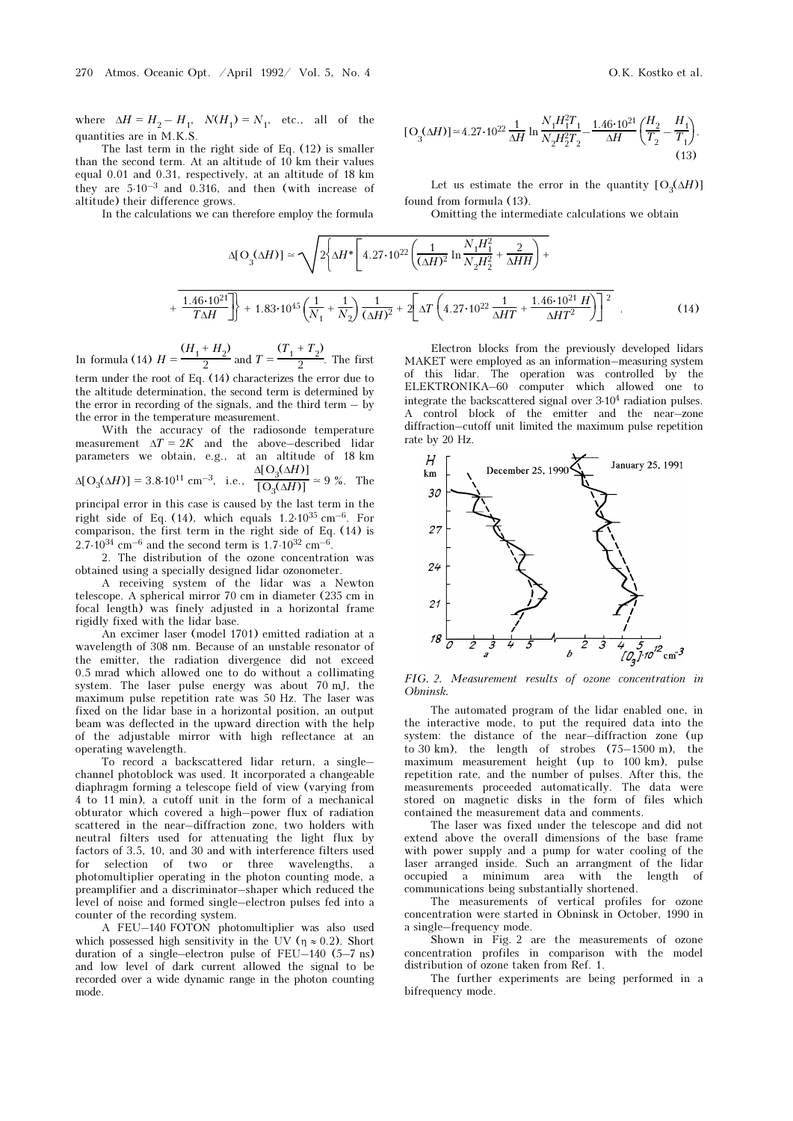where  $\Delta H = H_2 - H_1$ ,  $N(H_1) = N_1$ , etc., all of the quantities are in M.K.S.

The last term in the right side of Eq. (12) is smaller than the second term. At an altitude of  $10$  km their values equal 0.01 and 0.31, respectively, at an altitude of 18 km they are  $5·10<sup>-3</sup>$  and 0.316, and then (with increase of altitude) their difference grows.

In the calculations we can therefore employ the formula

$$
\text{[O}_3(\Delta H)] \approx 4.27 \cdot 10^{22} \frac{1}{\Delta H} \ln \frac{N_1 H_1^2 T_1}{N_2 H_2^2 T_2} - \frac{1.46 \cdot 10^{21}}{\Delta H} \left(\frac{H_2}{T_2} - \frac{H_1}{T_1}\right). \tag{13}
$$

Let us estimate the error in the quantity  $[O_2(\Delta H)]$ found from formula (13).

Omitting the intermediate calculations we obtain

$$
\Delta[\text{O}_3(\Delta H)] \simeq \sqrt{2 \left\{ \Delta H^* \left[ 4.27 \cdot 10^{22} \left( \frac{1}{(\Delta H)^2} \ln \frac{N_1 H_1^2}{N_2 H_2^2} + \frac{2}{\Delta H H} \right) + \frac{1.46 \cdot 10^{21}}{T \Delta H} \right] + 1.83 \cdot 10^{45} \left( \frac{1}{N_1} + \frac{1}{N_2} \right) \frac{1}{(\Delta H)^2} + 2 \left[ \Delta T \left( 4.27 \cdot 10^{22} \frac{1}{\Delta H T} + \frac{1.46 \cdot 10^{21} H}{\Delta H T^2} \right) \right]^2
$$
 (14)

In formula (14)  $H = \frac{(H_1 + H_2)}{2}$  $\frac{2}{2}$  and  $T=$  $(T_1 + T_2)$  $\frac{2}{2}$ . The first

term under the root of Eq. (14) characterizes the error due to the altitude determination, the second term is determined by the error in recording of the signals, and the third term – by the error in the temperature measurement.

With the accuracy of the radiosonde temperature measurement  $\Delta T = 2K$  and the above–described lidar parameters we obtain, e.g., at an altitude of 18 km<br>  $\Delta[O_3(\Delta H)] = 3.8 \cdot 10^{11}$  cm<sup>-3</sup>, i.e.,  $\frac{\Delta[O_3(\Delta H)]}{[O_3(\Delta H)]} \approx 9$ %. The  $Δ[O<sub>3</sub>(ΔH)]$ 

$$
\Delta[\text{O}_3(\Delta H)] = 3.8 \cdot 10^{11} \text{ cm}^{-3}
$$
, i.e.,  $\frac{10}{\text{[O}_3(\Delta H)]} \approx 9 \%$ . The

principal error in this case is caused by the last term in the right side of Eq. (14), which equals  $1.2 \cdot 10^{35}$  cm<sup>-6</sup>. For comparison, the first term in the right side of Eq. (14) is  $2.7·10^{34}$   ${\rm cm^{-6}}$  and the second term is  $1.7·10^{32}$   ${\rm cm^{-6}}$ 

2. The distribution of the ozone concentration was obtained using a specially designed lidar ozonometer.

A receiving system of the lidar was a Newton telescope. A spherical mirror 70 cm in diameter (235 cm in focal length) was finely adjusted in a horizontal frame rigidly fixed with the lidar base.

An excimer laser (model 1701) emitted radiation at a wavelength of 308 nm. Because of an unstable resonator of the emitter, the radiation divergence did not exceed 0.5 mrad which allowed one to do without a collimating system. The laser pulse energy was about 70 mJ, the maximum pulse repetition rate was 50 Hz. The laser was fixed on the lidar base in a horizontal position, an output beam was deflected in the upward direction with the help of the adjustable mirror with high reflectance at an operating wavelength.

To record a backscattered lidar return, a single– channel photoblock was used. It incorporated a changeable diaphragm forming a telescope field of view (varying from 4 to 11 min), a cutoff unit in the form of a mechanical obturator which covered a high–power flux of radiation scattered in the near–diffraction zone, two holders with neutral filters used for attenuating the light flux by factors of 3.5, 10, and 30 and with interference filters used for selection of two or three wavelengths, a photomultiplier operating in the photon counting mode, a preamplifier and a discriminator–shaper which reduced the level of noise and formed single–electron pulses fed into a counter of the recording system.

A FEU–140 FOTON photomultiplier was also used which possessed high sensitivity in the UV ( $\eta \approx 0.2$ ). Short duration of a single–electron pulse of FEU–140 (5–7 ns) and low level of dark current allowed the signal to be recorded over a wide dynamic range in the photon counting mode.

Electron blocks from the previously developed lidars MAKET were employed as an information–measuring system of this lidar. The operation was controlled by the ELEKTRONIKA–60 computer which allowed one to integrate the backscattered signal over 3⋅10<sup>4</sup> radiation pulses. A control block of the emitter and the near–zone diffraction–cutoff unit limited the maximum pulse repetition rate by 20 Hz.



FIG. 2. Measurement results of ozone concentration in Obninsk.

The automated program of the lidar enabled one, in the interactive mode, to put the required data into the system: the distance of the near–diffraction zone (up to 30 km), the length of strobes (75–1500 m), the maximum measurement height (up to 100 km), pulse repetition rate, and the number of pulses. After this, the measurements proceeded automatically. The data were stored on magnetic disks in the form of files which contained the measurement data and comments.

The laser was fixed under the telescope and did not extend above the overall dimensions of the base frame with power supply and a pump for water cooling of the laser arranged inside. Such an arrangment of the lidar occupied a minimum area with the length of communications being substantially shortened.

The measurements of vertical profiles for ozone concentration were started in Obninsk in October, 1990 in a single–frequency mode.

Shown in Fig. 2 are the measurements of ozone concentration profiles in comparison with the model distribution of ozone taken from Ref. 1.

The further experiments are being performed in a bifrequency mode.